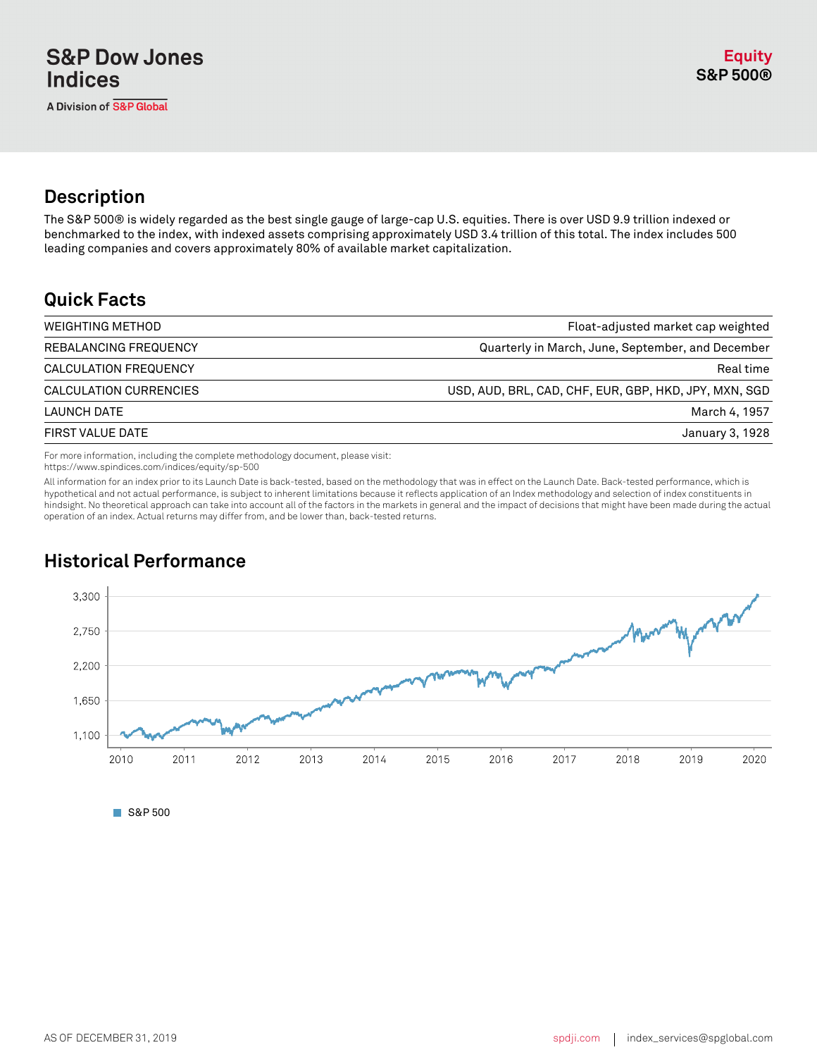A Division of S&P Global

## **Description**

The S&P 500® is widely regarded as the best single gauge of large-cap U.S. equities. There is over USD 9.9 trillion indexed or benchmarked to the index, with indexed assets comprising approximately USD 3.4 trillion of this total. The index includes 500 leading companies and covers approximately 80% of available market capitalization.

### **Quick Facts**

| <b>WEIGHTING METHOD</b> | Float-adjusted market cap weighted                    |
|-------------------------|-------------------------------------------------------|
| REBALANCING FREQUENCY   | Quarterly in March, June, September, and December     |
| CALCULATION FREQUENCY   | Real time                                             |
| CALCULATION CURRENCIES  | USD, AUD, BRL, CAD, CHF, EUR, GBP, HKD, JPY, MXN, SGD |
| LAUNCH DATE             | March 4, 1957                                         |
| FIRST VALUE DATE        | January 3, 1928                                       |
|                         |                                                       |

For more information, including the complete methodology document, please visit:

https://www.spindices.com/indices/equity/sp-500

All information for an index prior to its Launch Date is back-tested, based on the methodology that was in effect on the Launch Date. Back-tested performance, which is hypothetical and not actual performance, is subject to inherent limitations because it reflects application of an Index methodology and selection of index constituents in hindsight. No theoretical approach can take into account all of the factors in the markets in general and the impact of decisions that might have been made during the actual operation of an index. Actual returns may differ from, and be lower than, back-tested returns.

## **Historical Performance**



S&P 500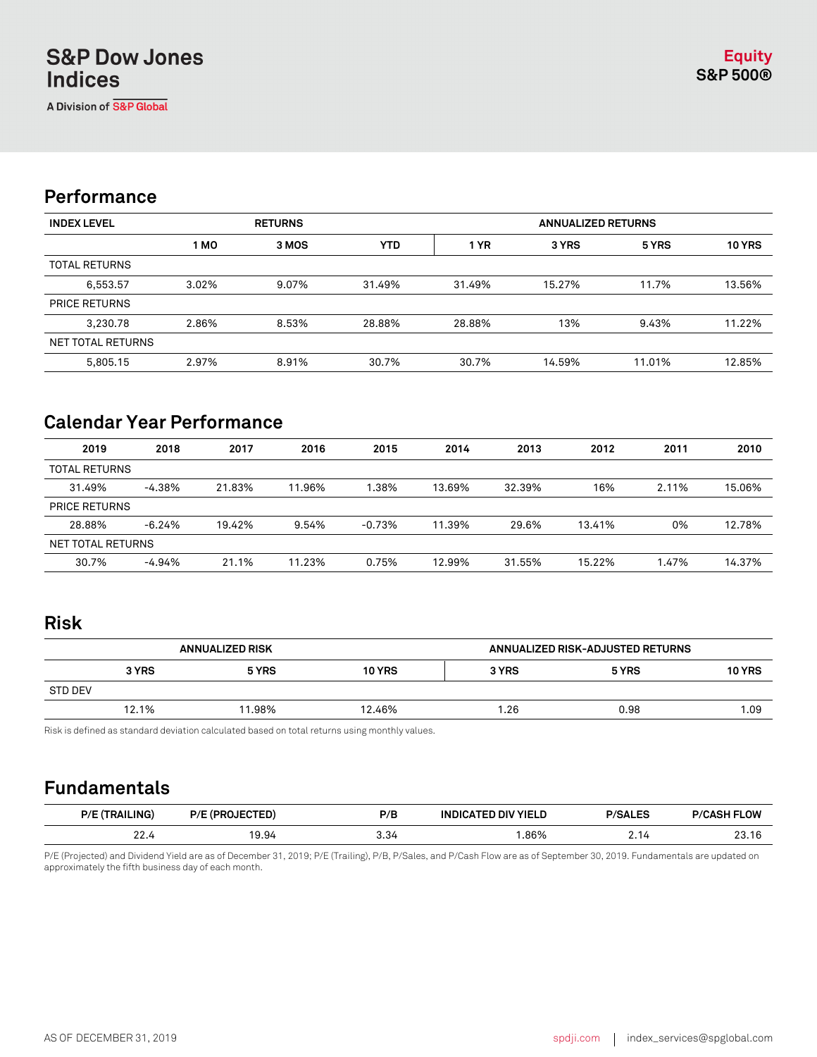A Division of S&P Global

### **Performance**

| <b>INDEX LEVEL</b>   | <b>RETURNS</b> |       |            | <b>ANNUALIZED RETURNS</b> |        |        |               |
|----------------------|----------------|-------|------------|---------------------------|--------|--------|---------------|
|                      | 1 MO           | 3 MOS | <b>YTD</b> | 1 YR                      | 3 YRS  | 5 YRS  | <b>10 YRS</b> |
| <b>TOTAL RETURNS</b> |                |       |            |                           |        |        |               |
| 6,553.57             | 3.02%          | 9.07% | 31.49%     | 31.49%                    | 15.27% | 11.7%  | 13.56%        |
| <b>PRICE RETURNS</b> |                |       |            |                           |        |        |               |
| 3,230.78             | 2.86%          | 8.53% | 28.88%     | 28.88%                    | 13%    | 9.43%  | 11.22%        |
| NET TOTAL RETURNS    |                |       |            |                           |        |        |               |
| 5,805.15             | 2.97%          | 8.91% | 30.7%      | 30.7%                     | 14.59% | 11.01% | 12.85%        |

## **Calendar Year Performance**

| 2019                 | 2018     | 2017   | 2016   | 2015     | 2014   | 2013   | 2012   | 2011  | 2010   |
|----------------------|----------|--------|--------|----------|--------|--------|--------|-------|--------|
| <b>TOTAL RETURNS</b> |          |        |        |          |        |        |        |       |        |
| 31.49%               | $-4.38%$ | 21.83% | 11.96% | 1.38%    | 13.69% | 32.39% | 16%    | 2.11% | 15.06% |
| <b>PRICE RETURNS</b> |          |        |        |          |        |        |        |       |        |
| 28.88%               | $-6.24%$ | 19.42% | 9.54%  | $-0.73%$ | 11.39% | 29.6%  | 13.41% | 0%    | 12.78% |
| NET TOTAL RETURNS    |          |        |        |          |        |        |        |       |        |
| 30.7%                | $-4.94%$ | 21.1%  | 11.23% | 0.75%    | 12.99% | 31.55% | 15.22% | 1.47% | 14.37% |

#### **Risk**

| <b>ANNUALIZED RISK</b> |       |        |               | ANNUALIZED RISK-ADJUSTED RETURNS |       |               |
|------------------------|-------|--------|---------------|----------------------------------|-------|---------------|
|                        | 3 YRS | 5 YRS  | <b>10 YRS</b> | 3 YRS                            | 5 YRS | <b>10 YRS</b> |
| <b>STD DEV</b>         |       |        |               |                                  |       |               |
|                        | 12.1% | 11.98% | 12.46%        | 26. ا                            | 0.98  | 1.09          |

Risk is defined as standard deviation calculated based on total returns using monthly values.

#### **Fundamentals**

| AII ING<br>D/I      | D/<br> | P/B  | <b>YIFI</b><br>ıΝ<br>. . | $\sim$ | .ow<br>D/6      |
|---------------------|--------|------|--------------------------|--------|-----------------|
| $\sim$<br>$-$ - $-$ | .9.94  | 3.34 | .86%                     | Z.I4   | $\sim$<br>ا ، ت |

P/E (Projected) and Dividend Yield are as of December 31, 2019; P/E (Trailing), P/B, P/Sales, and P/Cash Flow are as of September 30, 2019. Fundamentals are updated on approximately the fifth business day of each month.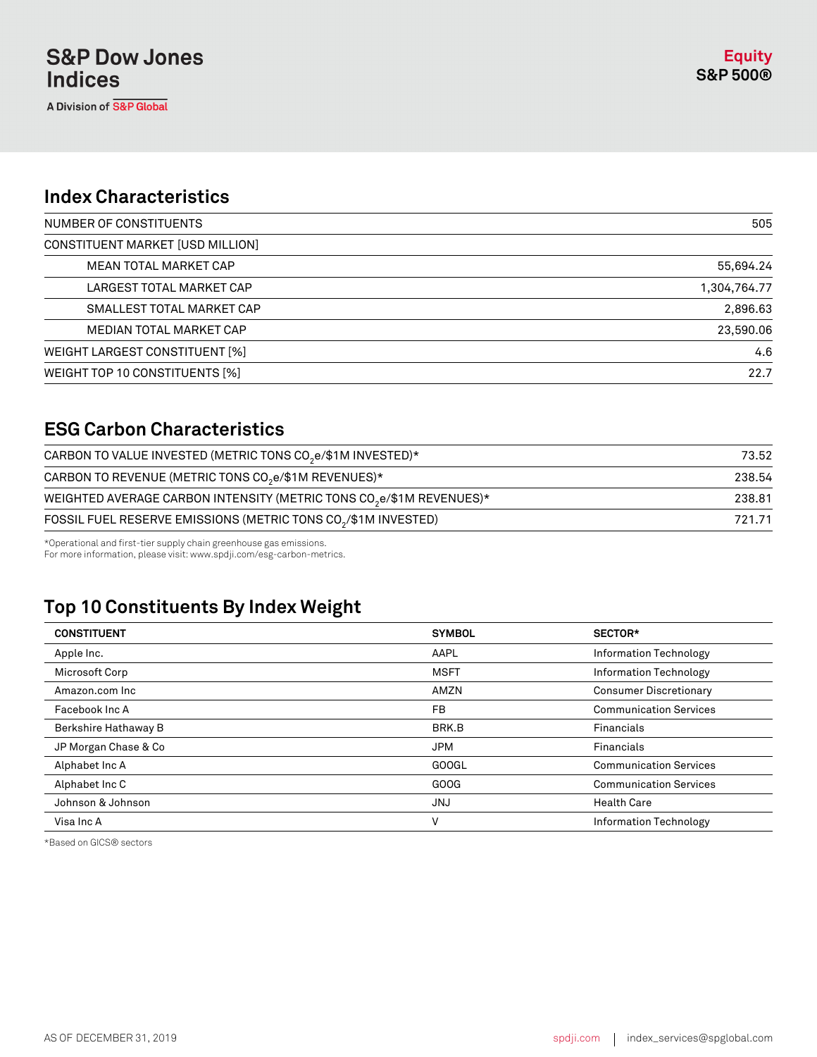#### **Index Characteristics**

| NUMBER OF CONSTITUENTS           | 505          |
|----------------------------------|--------------|
| CONSTITUENT MARKET [USD MILLION] |              |
| MEAN TOTAL MARKET CAP            | 55,694.24    |
| LARGEST TOTAL MARKET CAP         | 1,304,764.77 |
| SMALLEST TOTAL MARKET CAP        | 2,896.63     |
| MEDIAN TOTAL MARKET CAP          | 23,590.06    |
| WEIGHT LARGEST CONSTITUENT [%]   | 4.6          |
| WEIGHT TOP 10 CONSTITUENTS [%]   | 22.7         |

### **ESG Carbon Characteristics**

| 73.52  |
|--------|
| 238.54 |
| 238.81 |
| 721.71 |
|        |

\*Operational and first-tier supply chain greenhouse gas emissions.

For more information, please visit: www.spdji.com/esg-carbon-metrics.

# **Top 10 Constituents By Index Weight**

| <b>CONSTITUENT</b>   | <b>SYMBOL</b> | SECTOR*                       |
|----------------------|---------------|-------------------------------|
| Apple Inc.           | AAPL          | <b>Information Technology</b> |
| Microsoft Corp       | <b>MSFT</b>   | Information Technology        |
| Amazon.com Inc       | AMZN          | <b>Consumer Discretionary</b> |
| Facebook Inc A       | FB            | <b>Communication Services</b> |
| Berkshire Hathaway B | BRK.B         | Financials                    |
| JP Morgan Chase & Co | <b>JPM</b>    | Financials                    |
| Alphabet Inc A       | <b>GOOGL</b>  | <b>Communication Services</b> |
| Alphabet Inc C       | GOOG          | <b>Communication Services</b> |
| Johnson & Johnson    | <b>JNJ</b>    | <b>Health Care</b>            |
| Visa Inc A           | V             | Information Technology        |

\*Based on GICS® sectors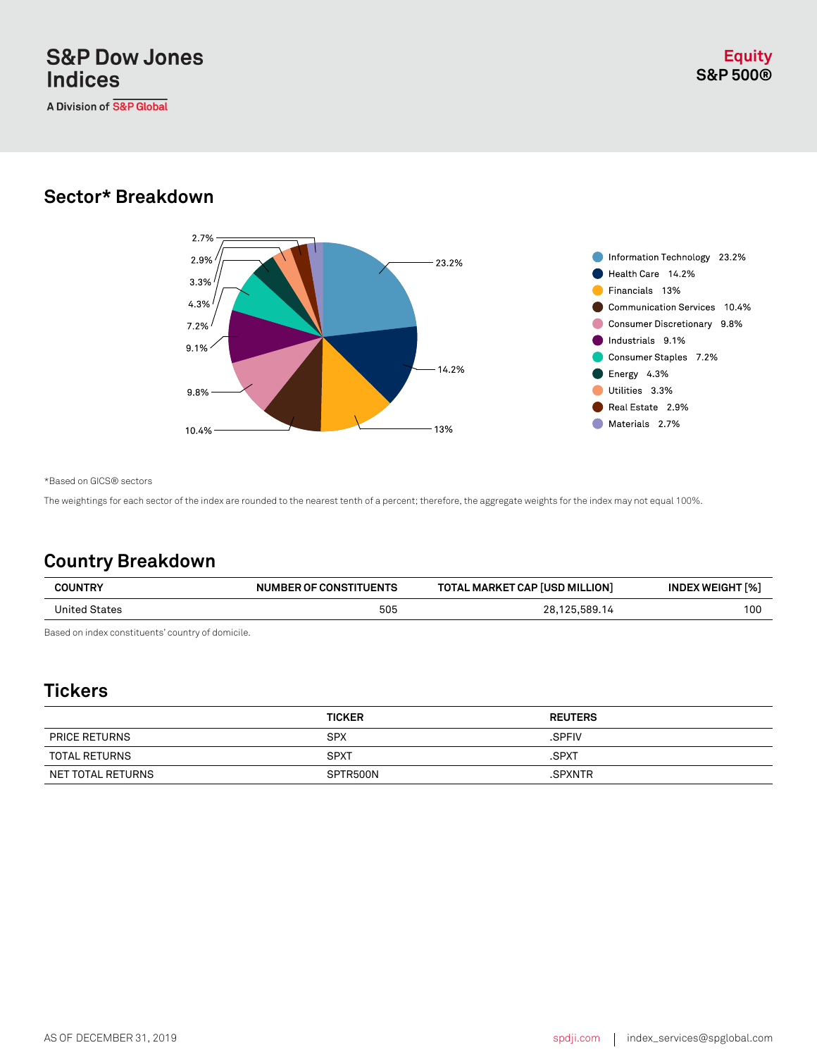A Division of S&P Global

#### **Sector\* Breakdown**



\*Based on GICS® sectors

The weightings for each sector of the index are rounded to the nearest tenth of a percent; therefore, the aggregate weights for the index may not equal 100%.

### **Country Breakdown**

| <b>COUNTRY</b> | NUMBER OF CONSTITUENTS | <b>TOTAL MARKET CAP [USD MILLION]</b> | <b>INDEX WEIGHT [%]</b> |
|----------------|------------------------|---------------------------------------|-------------------------|
| United States  | 505                    | 28,125,589.14                         | 100                     |
|                |                        |                                       |                         |

Based on index constituents' country of domicile.

#### **Tickers**

|                      | <b>TICKER</b> | <b>REUTERS</b> |
|----------------------|---------------|----------------|
| <b>PRICE RETURNS</b> | <b>SPX</b>    | .SPFIV         |
| TOTAL RETURNS        | <b>SPXT</b>   | .SPXT          |
| NET TOTAL RETURNS    | SPTR500N      | .SPXNTR        |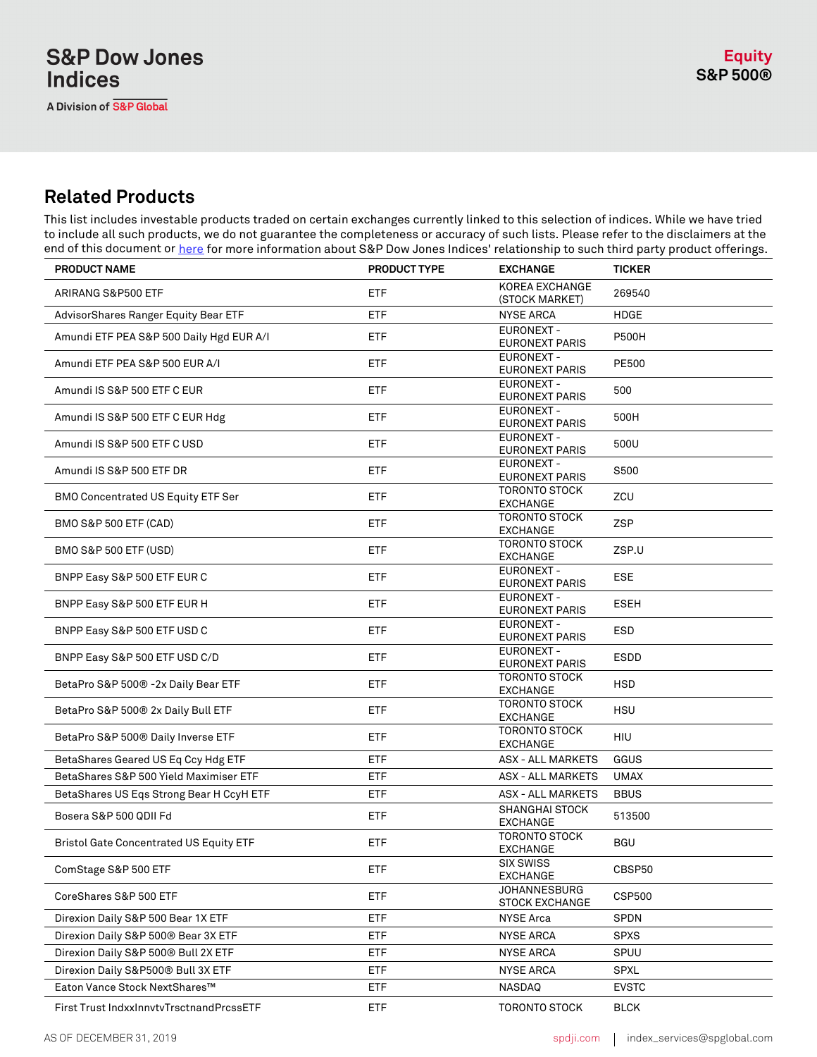#### **Related Products**

This list includes investable products traded on certain exchanges currently linked to this selection of indices. While we have tried to include all such products, we do not guarantee the completeness or accuracy of such lists. Please refer to the disclaimers at the end of this document or *here* for more information about S&P Dow Jones Indices' relationship to such third party product offerings.

| <b>PRODUCT NAME</b>                            | PRODUCT TYPE | <b>EXCHANGE</b>                            | <b>TICKER</b> |
|------------------------------------------------|--------------|--------------------------------------------|---------------|
| ARIRANG S&P500 ETF                             | ETF          | KOREA EXCHANGE<br>(STOCK MARKET)           | 269540        |
| AdvisorShares Ranger Equity Bear ETF           | ETF          | <b>NYSE ARCA</b>                           | <b>HDGE</b>   |
| Amundi ETF PEA S&P 500 Daily Hgd EUR A/I       | ETF          | <b>EURONEXT -</b><br><b>EURONEXT PARIS</b> | <b>P500H</b>  |
| Amundi ETF PEA S&P 500 EUR A/I                 | ETF          | <b>EURONEXT -</b><br><b>EURONEXT PARIS</b> | PE500         |
| Amundi IS S&P 500 ETF C EUR                    | <b>ETF</b>   | EURONEXT -<br>EURONEXT PARIS               | 500           |
| Amundi IS S&P 500 ETF C EUR Hdg                | ETF          | <b>EURONEXT-</b><br><b>EURONEXT PARIS</b>  | 500H          |
| Amundi IS S&P 500 ETF C USD                    | ETF          | <b>EURONEXT -</b><br><b>EURONEXT PARIS</b> | 500U          |
| Amundi IS S&P 500 ETF DR                       | <b>ETF</b>   | EURONEXT -<br><b>EURONEXT PARIS</b>        | S500          |
| BMO Concentrated US Equity ETF Ser             | ETF          | <b>TORONTO STOCK</b><br><b>EXCHANGE</b>    | ZCU           |
| BMO S&P 500 ETF (CAD)                          | ETF          | <b>TORONTO STOCK</b><br><b>EXCHANGE</b>    | <b>ZSP</b>    |
| BMO S&P 500 ETF (USD)                          | <b>ETF</b>   | <b>TORONTO STOCK</b><br>EXCHANGE           | ZSP.U         |
| BNPP Easy S&P 500 ETF EUR C                    | ETF          | <b>EURONEXT -</b><br><b>EURONEXT PARIS</b> | <b>ESE</b>    |
| BNPP Easy S&P 500 ETF EUR H                    | ETF          | <b>EURONEXT -</b><br>EURONEXT PARIS        | <b>ESEH</b>   |
| BNPP Easy S&P 500 ETF USD C                    | <b>ETF</b>   | EURONEXT -<br><b>EURONEXT PARIS</b>        | <b>ESD</b>    |
| BNPP Easy S&P 500 ETF USD C/D                  | ETF          | <b>EURONEXT -</b><br><b>EURONEXT PARIS</b> | <b>ESDD</b>   |
| BetaPro S&P 500® -2x Daily Bear ETF            | ETF          | <b>TORONTO STOCK</b><br><b>EXCHANGE</b>    | <b>HSD</b>    |
| BetaPro S&P 500® 2x Daily Bull ETF             | <b>ETF</b>   | <b>TORONTO STOCK</b><br>EXCHANGE           | <b>HSU</b>    |
| BetaPro S&P 500® Daily Inverse ETF             | ETF          | <b>TORONTO STOCK</b><br><b>EXCHANGE</b>    | <b>HIU</b>    |
| BetaShares Geared US Eq Ccy Hdg ETF            | ETF          | <b>ASX - ALL MARKETS</b>                   | GGUS          |
| BetaShares S&P 500 Yield Maximiser ETF         | ETF          | <b>ASX - ALL MARKETS</b>                   | <b>UMAX</b>   |
| BetaShares US Eqs Strong Bear H CcyH ETF       | ETF          | <b>ASX - ALL MARKETS</b>                   | <b>BBUS</b>   |
| Bosera S&P 500 QDII Fd                         | ETF          | <b>SHANGHAI STOCK</b><br><b>EXCHANGE</b>   | 513500        |
| <b>Bristol Gate Concentrated US Equity ETF</b> | ETF          | <b>TORONTO STOCK</b><br><b>EXCHANGE</b>    | <b>BGU</b>    |
| ComStage S&P 500 ETF                           | ETF          | <b>SIX SWISS</b><br><b>EXCHANGE</b>        | CBSP50        |
| CoreShares S&P 500 ETF                         | ETF          | JOHANNESBURG<br><b>STOCK EXCHANGE</b>      | <b>CSP500</b> |
| Direxion Daily S&P 500 Bear 1X ETF             | ETF          | <b>NYSE Arca</b>                           | SPDN          |
| Direxion Daily S&P 500® Bear 3X ETF            | ETF          | <b>NYSE ARCA</b>                           | <b>SPXS</b>   |
| Direxion Daily S&P 500® Bull 2X ETF            | <b>ETF</b>   | <b>NYSE ARCA</b>                           | SPUU          |
| Direxion Daily S&P500® Bull 3X ETF             | <b>ETF</b>   | <b>NYSE ARCA</b>                           | <b>SPXL</b>   |
| Eaton Vance Stock NextShares™                  | ETF          | NASDAQ                                     | <b>EVSTC</b>  |
| First Trust IndxxInnvtvTrsctnandPrcssETF       | <b>ETF</b>   | <b>TORONTO STOCK</b>                       | <b>BLCK</b>   |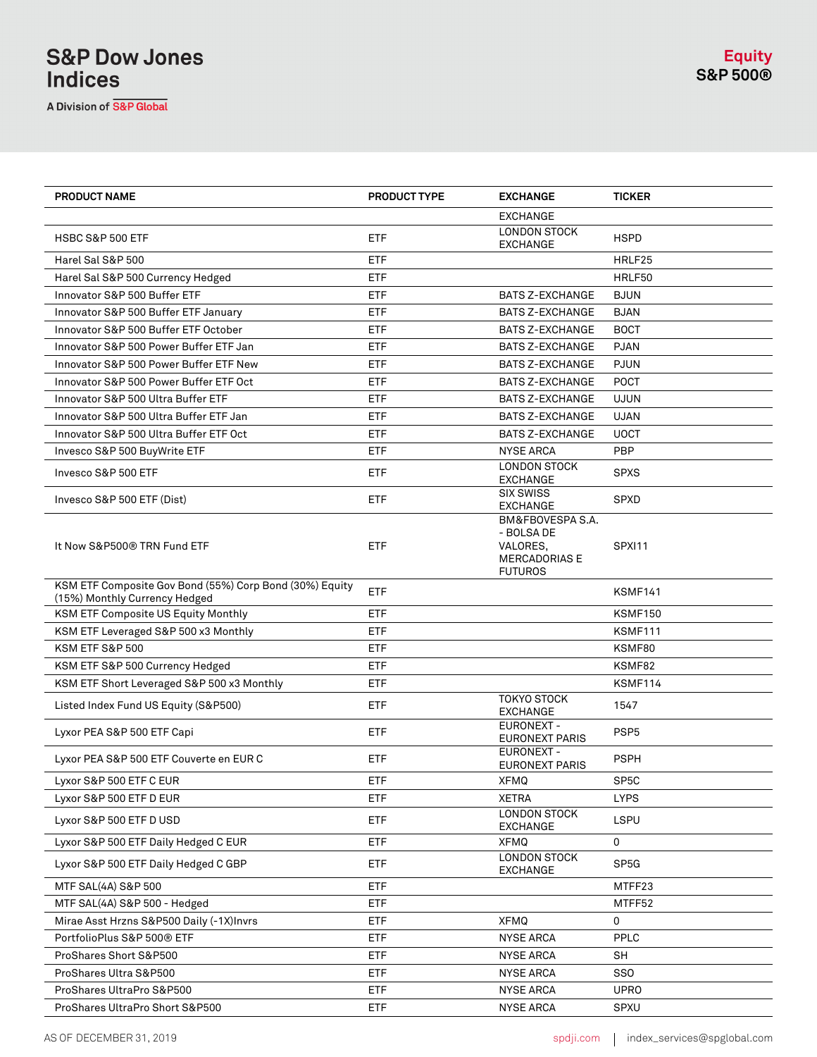A Division of S&P Global

| <b>PRODUCT NAME</b>                                                                      | <b>PRODUCT TYPE</b> | <b>EXCHANGE</b>                                                                      | <b>TICKER</b>     |
|------------------------------------------------------------------------------------------|---------------------|--------------------------------------------------------------------------------------|-------------------|
|                                                                                          |                     | <b>EXCHANGE</b>                                                                      |                   |
| <b>HSBC S&amp;P 500 ETF</b>                                                              | ETF                 | <b>LONDON STOCK</b><br><b>EXCHANGE</b>                                               | <b>HSPD</b>       |
| Harel Sal S&P 500                                                                        | ETF                 |                                                                                      | HRLF25            |
| Harel Sal S&P 500 Currency Hedged                                                        | <b>ETF</b>          |                                                                                      | HRLF50            |
| Innovator S&P 500 Buffer ETF                                                             | <b>ETF</b>          | <b>BATS Z-EXCHANGE</b>                                                               | <b>BJUN</b>       |
| Innovator S&P 500 Buffer ETF January                                                     | ETF                 | <b>BATS Z-EXCHANGE</b>                                                               | <b>BJAN</b>       |
| Innovator S&P 500 Buffer ETF October                                                     | ETF                 | <b>BATS Z-EXCHANGE</b>                                                               | <b>BOCT</b>       |
| Innovator S&P 500 Power Buffer ETF Jan                                                   | ETF                 | <b>BATS Z-EXCHANGE</b>                                                               | <b>PJAN</b>       |
| Innovator S&P 500 Power Buffer ETF New                                                   | ETF                 | <b>BATS Z-EXCHANGE</b>                                                               | <b>PJUN</b>       |
| Innovator S&P 500 Power Buffer ETF Oct                                                   | ETF                 | <b>BATS Z-EXCHANGE</b>                                                               | <b>POCT</b>       |
| Innovator S&P 500 Ultra Buffer ETF                                                       | ETF                 | <b>BATS Z-EXCHANGE</b>                                                               | <b>UJUN</b>       |
| Innovator S&P 500 Ultra Buffer ETF Jan                                                   | ETF                 | <b>BATS Z-EXCHANGE</b>                                                               | <b>UJAN</b>       |
| Innovator S&P 500 Ultra Buffer ETF Oct                                                   | ETF                 | <b>BATS Z-EXCHANGE</b>                                                               | <b>UOCT</b>       |
| Invesco S&P 500 BuyWrite ETF                                                             | <b>ETF</b>          | <b>NYSE ARCA</b>                                                                     | <b>PBP</b>        |
| Invesco S&P 500 ETF                                                                      | <b>ETF</b>          | <b>LONDON STOCK</b><br><b>EXCHANGE</b>                                               | <b>SPXS</b>       |
| Invesco S&P 500 ETF (Dist)                                                               | ETF                 | <b>SIX SWISS</b><br>EXCHANGE                                                         | <b>SPXD</b>       |
| It Now S&P500® TRN Fund ETF                                                              | ETF                 | BM&FBOVESPA S.A.<br>- BOLSA DE<br>VALORES,<br><b>MERCADORIAS E</b><br><b>FUTUROS</b> | SPXI11            |
| KSM ETF Composite Gov Bond (55%) Corp Bond (30%) Equity<br>(15%) Monthly Currency Hedged | <b>ETF</b>          |                                                                                      | KSMF141           |
| KSM ETF Composite US Equity Monthly                                                      | <b>ETF</b>          |                                                                                      | <b>KSMF150</b>    |
| KSM ETF Leveraged S&P 500 x3 Monthly                                                     | ETF                 |                                                                                      | KSMF111           |
| KSM ETF S&P 500                                                                          | ETF                 |                                                                                      | KSMF80            |
| KSM ETF S&P 500 Currency Hedged                                                          | ETF                 |                                                                                      | KSMF82            |
| KSM ETF Short Leveraged S&P 500 x3 Monthly                                               | ETF                 |                                                                                      | KSMF114           |
| Listed Index Fund US Equity (S&P500)                                                     | ETF                 | <b>TOKYO STOCK</b><br><b>EXCHANGE</b>                                                | 1547              |
| Lyxor PEA S&P 500 ETF Capi                                                               | <b>ETF</b>          | EURONEXT -<br><b>EURONEXT PARIS</b>                                                  | PSP <sub>5</sub>  |
| Lyxor PEA S&P 500 ETF Couverte en EUR C                                                  | ETF                 | <b>EURONEXT -</b><br><b>EURONEXT PARIS</b>                                           | <b>PSPH</b>       |
| Lyxor S&P 500 ETF C EUR                                                                  | ETF                 | XFMQ                                                                                 | SP <sub>5</sub> C |
| Lyxor S&P 500 ETF D EUR                                                                  | ETF                 | <b>XETRA</b>                                                                         | <b>LYPS</b>       |
| Lyxor S&P 500 ETF D USD                                                                  | ETF                 | <b>LONDON STOCK</b><br>EXCHANGE                                                      | <b>LSPU</b>       |
| Lyxor S&P 500 ETF Daily Hedged C EUR                                                     | ETF                 | <b>XFMQ</b>                                                                          | 0                 |
| Lyxor S&P 500 ETF Daily Hedged C GBP                                                     | ETF                 | LONDON STOCK<br>EXCHANGE                                                             | SP <sub>5</sub> G |
| MTF SAL(4A) S&P 500                                                                      | ETF                 |                                                                                      | MTFF23            |
| MTF SAL(4A) S&P 500 - Hedged                                                             | <b>ETF</b>          |                                                                                      | MTFF52            |
| Mirae Asst Hrzns S&P500 Daily (-1X)Invrs                                                 | <b>ETF</b>          | <b>XFMQ</b>                                                                          | 0                 |
| PortfolioPlus S&P 500® ETF                                                               | ETF                 | <b>NYSE ARCA</b>                                                                     | PPLC              |
| ProShares Short S&P500                                                                   | ETF                 | <b>NYSE ARCA</b>                                                                     | <b>SH</b>         |
| ProShares Ultra S&P500                                                                   | <b>ETF</b>          | NYSE ARCA                                                                            | SSO               |
| ProShares UltraPro S&P500                                                                | ETF                 | <b>NYSE ARCA</b>                                                                     | <b>UPRO</b>       |
| ProShares UltraPro Short S&P500                                                          | <b>ETF</b>          | <b>NYSE ARCA</b>                                                                     | SPXU              |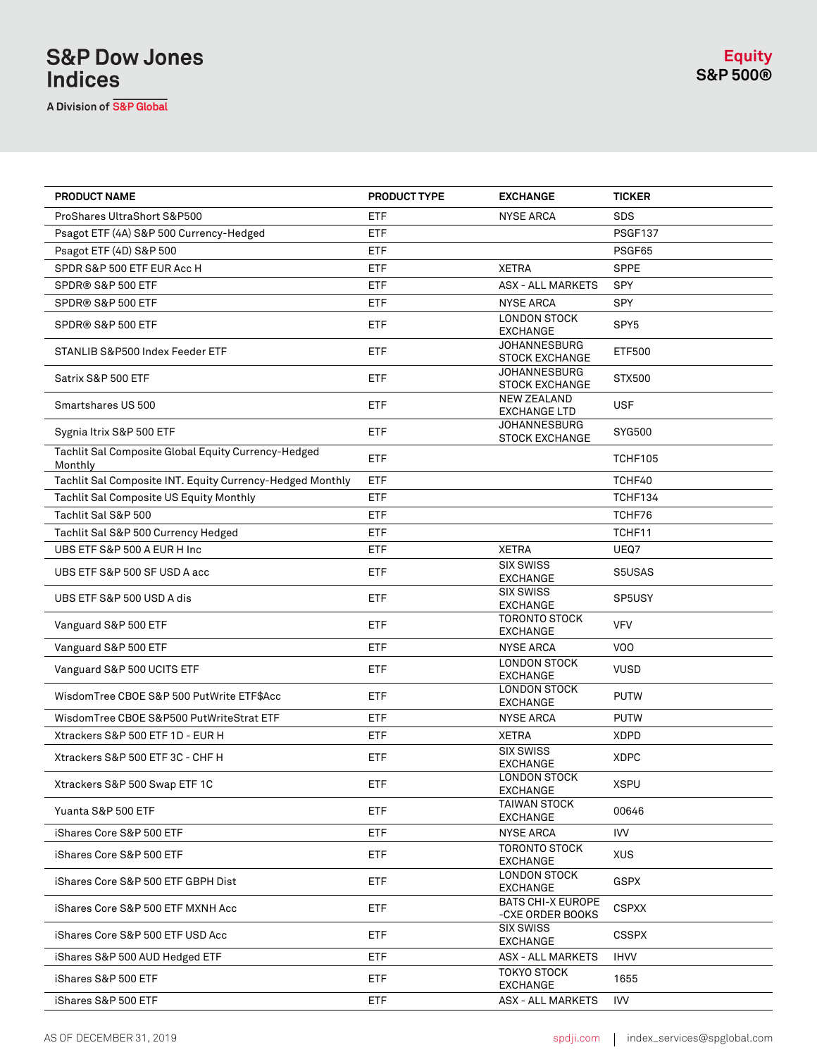A Division of S&P Global

| PRODUCT NAME                                                   | <b>PRODUCT TYPE</b> | <b>EXCHANGE</b>                              | <b>TICKER</b>    |
|----------------------------------------------------------------|---------------------|----------------------------------------------|------------------|
| ProShares UltraShort S&P500                                    | <b>ETF</b>          | <b>NYSE ARCA</b>                             | <b>SDS</b>       |
| Psagot ETF (4A) S&P 500 Currency-Hedged                        | <b>ETF</b>          |                                              | <b>PSGF137</b>   |
| Psagot ETF (4D) S&P 500                                        | <b>ETF</b>          |                                              | PSGF65           |
| SPDR S&P 500 ETF EUR Acc H                                     | <b>ETF</b>          | <b>XETRA</b>                                 | <b>SPPE</b>      |
| SPDR® S&P 500 ETF                                              | <b>ETF</b>          | <b>ASX - ALL MARKETS</b>                     | <b>SPY</b>       |
| SPDR® S&P 500 ETF                                              | <b>ETF</b>          | <b>NYSE ARCA</b>                             | <b>SPY</b>       |
| SPDR® S&P 500 ETF                                              | <b>ETF</b>          | <b>LONDON STOCK</b><br><b>EXCHANGE</b>       | SPY <sub>5</sub> |
| STANLIB S&P500 Index Feeder ETF                                | <b>ETF</b>          | <b>JOHANNESBURG</b><br><b>STOCK EXCHANGE</b> | <b>ETF500</b>    |
| Satrix S&P 500 ETF                                             | <b>ETF</b>          | <b>JOHANNESBURG</b><br><b>STOCK EXCHANGE</b> | STX500           |
| Smartshares US 500                                             | ETF                 | <b>NEW ZEALAND</b><br><b>EXCHANGE LTD</b>    | <b>USF</b>       |
| Sygnia Itrix S&P 500 ETF                                       | <b>ETF</b>          | <b>JOHANNESBURG</b><br><b>STOCK EXCHANGE</b> | SYG500           |
| Tachlit Sal Composite Global Equity Currency-Hedged<br>Monthly | <b>ETF</b>          |                                              | <b>TCHF105</b>   |
| Tachlit Sal Composite INT. Equity Currency-Hedged Monthly      | <b>ETF</b>          |                                              | TCHF40           |
| Tachlit Sal Composite US Equity Monthly                        | <b>ETF</b>          |                                              | TCHF134          |
| Tachlit Sal S&P 500                                            | <b>ETF</b>          |                                              | TCHF76           |
| Tachlit Sal S&P 500 Currency Hedged                            | <b>ETF</b>          |                                              | TCHF11           |
| UBS ETF S&P 500 A EUR H Inc                                    | <b>ETF</b>          | <b>XETRA</b>                                 | UEQ7             |
| UBS ETF S&P 500 SF USD A acc                                   | <b>ETF</b>          | <b>SIX SWISS</b><br><b>EXCHANGE</b>          | S5USAS           |
| UBS ETF S&P 500 USD A dis                                      | <b>ETF</b>          | <b>SIX SWISS</b><br><b>EXCHANGE</b>          | SP5USY           |
| Vanguard S&P 500 ETF                                           | <b>ETF</b>          | <b>TORONTO STOCK</b><br><b>EXCHANGE</b>      | <b>VFV</b>       |
| Vanguard S&P 500 ETF                                           | <b>ETF</b>          | <b>NYSE ARCA</b>                             | V <sub>0</sub>   |
| Vanguard S&P 500 UCITS ETF                                     | <b>ETF</b>          | LONDON STOCK<br><b>EXCHANGE</b>              | <b>VUSD</b>      |
| WisdomTree CBOE S&P 500 PutWrite ETF\$Acc                      | <b>ETF</b>          | <b>LONDON STOCK</b><br><b>EXCHANGE</b>       | <b>PUTW</b>      |
| WisdomTree CBOE S&P500 PutWriteStrat ETF                       | <b>ETF</b>          | <b>NYSE ARCA</b>                             | <b>PUTW</b>      |
| Xtrackers S&P 500 ETF 1D - EUR H                               | <b>ETF</b>          | <b>XETRA</b>                                 | <b>XDPD</b>      |
| Xtrackers S&P 500 ETF 3C - CHF H                               | ETF                 | <b>SIX SWISS</b><br><b>EXCHANGE</b>          | <b>XDPC</b>      |
| Xtrackers S&P 500 Swap ETF 1C                                  | ETF                 | <b>LONDON STOCK</b><br>EXCHANGE              | <b>XSPU</b>      |
| Yuanta S&P 500 ETF                                             | <b>ETF</b>          | <b>TAIWAN STOCK</b><br><b>EXCHANGE</b>       | 00646            |
| iShares Core S&P 500 ETF                                       | <b>ETF</b>          | <b>NYSE ARCA</b>                             | IVV              |
| iShares Core S&P 500 ETF                                       | <b>ETF</b>          | <b>TORONTO STOCK</b><br><b>EXCHANGE</b>      | <b>XUS</b>       |
| iShares Core S&P 500 ETF GBPH Dist                             | <b>ETF</b>          | <b>LONDON STOCK</b><br><b>EXCHANGE</b>       | <b>GSPX</b>      |
| iShares Core S&P 500 ETF MXNH Acc                              | ETF                 | <b>BATS CHI-X EUROPE</b><br>-CXE ORDER BOOKS | <b>CSPXX</b>     |
| iShares Core S&P 500 ETF USD Acc                               | <b>ETF</b>          | <b>SIX SWISS</b><br>EXCHANGE                 | <b>CSSPX</b>     |
| iShares S&P 500 AUD Hedged ETF                                 | ETF                 | <b>ASX - ALL MARKETS</b>                     | <b>IHVV</b>      |
| iShares S&P 500 ETF                                            | <b>ETF</b>          | <b>TOKYO STOCK</b><br><b>EXCHANGE</b>        | 1655             |
| iShares S&P 500 ETF                                            | ETF                 | <b>ASX - ALL MARKETS</b>                     | IVV              |
|                                                                |                     |                                              |                  |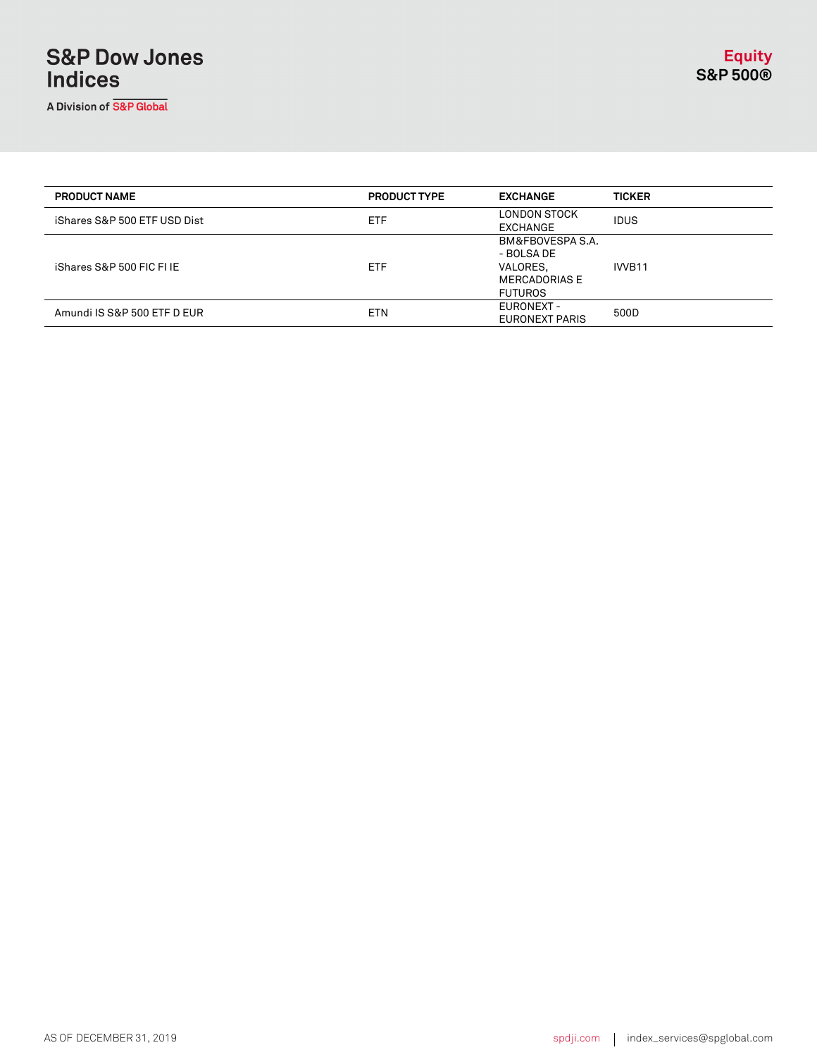A Division of S&P Global

| <b>PRODUCT NAME</b>          | <b>PRODUCT TYPE</b> | <b>EXCHANGE</b>                                                                      | <b>TICKER</b>      |
|------------------------------|---------------------|--------------------------------------------------------------------------------------|--------------------|
| iShares S&P 500 ETF USD Dist | <b>ETF</b>          | LONDON STOCK<br>EXCHANGE                                                             | <b>IDUS</b>        |
| iShares S&P 500 FIC FI IE    | <b>ETF</b>          | BM&FBOVESPA S.A.<br>- BOLSA DE<br>VALORES,<br><b>MERCADORIAS E</b><br><b>FUTUROS</b> | IVVB <sub>11</sub> |
| Amundi IS S&P 500 ETF D EUR  | <b>ETN</b>          | EURONEXT -<br>EURONEXT PARIS                                                         | 500D               |